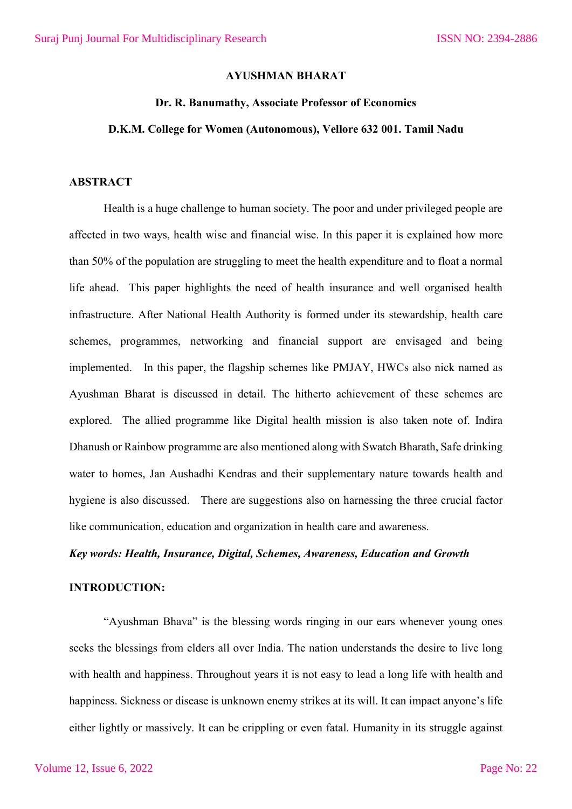## **AYUSHMAN BHARAT**

#### **Dr. R. Banumathy, Associate Professor of Economics**

#### **D.K.M. College for Women (Autonomous), Vellore 632 001. Tamil Nadu**

### **ABSTRACT**

Health is a huge challenge to human society. The poor and under privileged people are affected in two ways, health wise and financial wise. In this paper it is explained how more than 50% of the population are struggling to meet the health expenditure and to float a normal life ahead. This paper highlights the need of health insurance and well organised health infrastructure. After National Health Authority is formed under its stewardship, health care schemes, programmes, networking and financial support are envisaged and being implemented. In this paper, the flagship schemes like PMJAY, HWCs also nick named as Ayushman Bharat is discussed in detail. The hitherto achievement of these schemes are explored. The allied programme like Digital health mission is also taken note of. Indira Dhanush or Rainbow programme are also mentioned along with Swatch Bharath, Safe drinking water to homes, Jan Aushadhi Kendras and their supplementary nature towards health and hygiene is also discussed. There are suggestions also on harnessing the three crucial factor like communication, education and organization in health care and awareness.

## *Key words: Health, Insurance, Digital, Schemes, Awareness, Education and Growth*

## **INTRODUCTION:**

"Ayushman Bhava" is the blessing words ringing in our ears whenever young ones seeks the blessings from elders all over India. The nation understands the desire to live long with health and happiness. Throughout years it is not easy to lead a long life with health and happiness. Sickness or disease is unknown enemy strikes at its will. It can impact anyone's life either lightly or massively. It can be crippling or even fatal. Humanity in its struggle against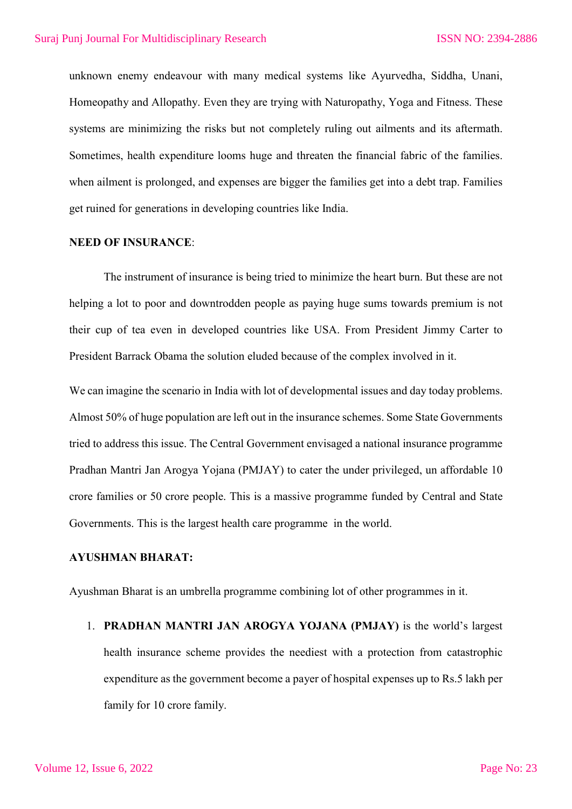unknown enemy endeavour with many medical systems like Ayurvedha, Siddha, Unani, Homeopathy and Allopathy. Even they are trying with Naturopathy, Yoga and Fitness. These systems are minimizing the risks but not completely ruling out ailments and its aftermath. Sometimes, health expenditure looms huge and threaten the financial fabric of the families. when ailment is prolonged, and expenses are bigger the families get into a debt trap. Families get ruined for generations in developing countries like India.

#### **NEED OF INSURANCE**:

The instrument of insurance is being tried to minimize the heart burn. But these are not helping a lot to poor and downtrodden people as paying huge sums towards premium is not their cup of tea even in developed countries like USA. From President Jimmy Carter to President Barrack Obama the solution eluded because of the complex involved in it.

We can imagine the scenario in India with lot of developmental issues and day today problems. Almost 50% of huge population are left out in the insurance schemes. Some State Governments tried to address this issue. The Central Government envisaged a national insurance programme Pradhan Mantri Jan Arogya Yojana (PMJAY) to cater the under privileged, un affordable 10 crore families or 50 crore people. This is a massive programme funded by Central and State Governments. This is the largest health care programme in the world.

#### **AYUSHMAN BHARAT:**

Ayushman Bharat is an umbrella programme combining lot of other programmes in it.

1. **PRADHAN MANTRI JAN AROGYA YOJANA (PMJAY)** is the world's largest health insurance scheme provides the neediest with a protection from catastrophic expenditure as the government become a payer of hospital expenses up to Rs.5 lakh per family for 10 crore family.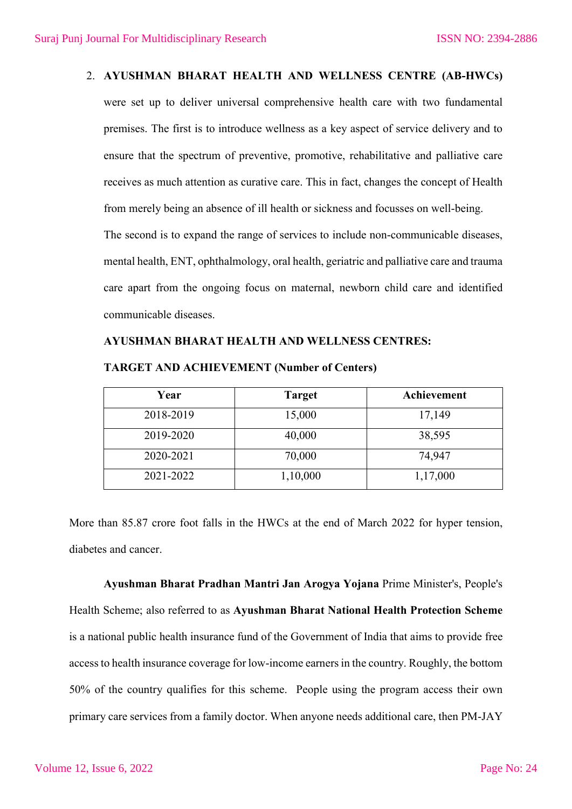### 2. **AYUSHMAN BHARAT HEALTH AND WELLNESS CENTRE (AB-HWCs)**

were set up to deliver universal comprehensive health care with two fundamental premises. The first is to introduce wellness as a key aspect of service delivery and to ensure that the spectrum of preventive, promotive, rehabilitative and palliative care receives as much attention as curative care. This in fact, changes the concept of Health from merely being an absence of ill health or sickness and focusses on well-being. The second is to expand the range of services to include non-communicable diseases, mental health, ENT, ophthalmology, oral health, geriatric and palliative care and trauma care apart from the ongoing focus on maternal, newborn child care and identified communicable diseases.

## **AYUSHMAN BHARAT HEALTH AND WELLNESS CENTRES:**

| Year      | <b>Target</b> | Achievement |
|-----------|---------------|-------------|
| 2018-2019 | 15,000        | 17,149      |
| 2019-2020 | 40,000        | 38,595      |
| 2020-2021 | 70,000        | 74,947      |
| 2021-2022 | 1,10,000      | 1,17,000    |

**TARGET AND ACHIEVEMENT (Number of Centers)**

More than 85.87 crore foot falls in the HWCs at the end of March 2022 for hyper tension, diabetes and cancer.

**Ayushman Bharat Pradhan Mantri Jan Arogya Yojana** Prime Minister's, People's Health Scheme; also referred to as **Ayushman Bharat National Health Protection Scheme** is a national public health insurance fund of the Government of India that aims to provide free access to health insurance coverage for low-income earners in the country. Roughly, the bottom 50% of the country qualifies for this scheme. People using the program access their own primary care services from a family doctor. When anyone needs additional care, then PM-JAY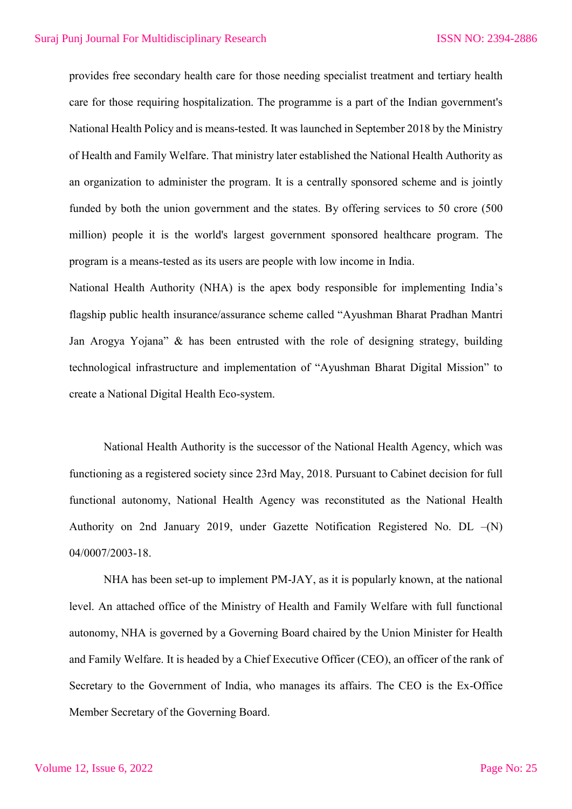provides free secondary health care for those needing specialist treatment and tertiary health care for those requiring hospitalization. The programme is a part of the Indian government's National Health Policy and is means-tested. It was launched in September 2018 by the Ministry of Health and Family Welfare. That ministry later established the National Health Authority as an organization to administer the program. It is a centrally sponsored scheme and is jointly funded by both the union government and the states. By offering services to 50 crore (500 million) people it is the world's largest government sponsored healthcare program. The program is a means-tested as its users are people with low income in India.

National Health Authority (NHA) is the apex body responsible for implementing India's flagship public health insurance/assurance scheme called "Ayushman Bharat Pradhan Mantri Jan Arogya Yojana" & has been entrusted with the role of designing strategy, building technological infrastructure and implementation of "Ayushman Bharat Digital Mission" to create a National Digital Health Eco-system.

National Health Authority is the successor of the National Health Agency, which was functioning as a registered society since 23rd May, 2018. Pursuant to Cabinet decision for full functional autonomy, National Health Agency was reconstituted as the National Health Authority on 2nd January 2019, under Gazette Notification Registered No. DL –(N) 04/0007/2003-18.

NHA has been set-up to implement PM-JAY, as it is popularly known, at the national level. An attached office of the Ministry of Health and Family Welfare with full functional autonomy, NHA is governed by a Governing Board chaired by the Union Minister for Health and Family Welfare. It is headed by a Chief Executive Officer (CEO), an officer of the rank of Secretary to the Government of India, who manages its affairs. The CEO is the Ex-Office Member Secretary of the Governing Board.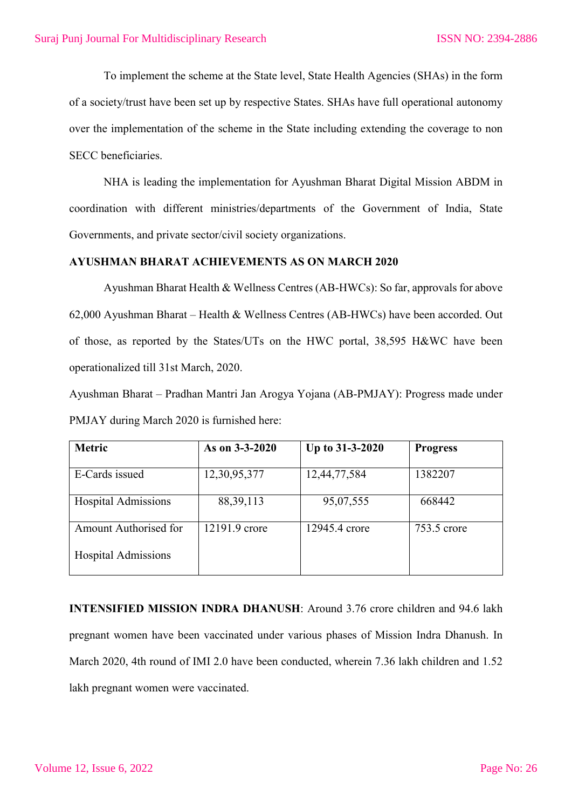To implement the scheme at the State level, State Health Agencies (SHAs) in the form of a society/trust have been set up by respective States. SHAs have full operational autonomy over the implementation of the scheme in the State including extending the coverage to non SECC beneficiaries.

NHA is leading the implementation for Ayushman Bharat Digital Mission ABDM in coordination with different ministries/departments of the Government of India, State Governments, and private sector/civil society organizations.

## **AYUSHMAN BHARAT ACHIEVEMENTS AS ON MARCH 2020**

Ayushman Bharat Health & Wellness Centres (AB-HWCs): So far, approvals for above 62,000 Ayushman Bharat – Health & Wellness Centres (AB-HWCs) have been accorded. Out of those, as reported by the States/UTs on the HWC portal, 38,595 H&WC have been operationalized till 31st March, 2020.

Ayushman Bharat – Pradhan Mantri Jan Arogya Yojana (AB-PMJAY): Progress made under PMJAY during March 2020 is furnished here:

| <b>Metric</b>              | As on 3-3-2020 | Up to 31-3-2020 | <b>Progress</b> |
|----------------------------|----------------|-----------------|-----------------|
| E-Cards issued             | 12,30,95,377   | 12,44,77,584    | 1382207         |
| <b>Hospital Admissions</b> | 88, 39, 113    | 95,07,555       | 668442          |
| Amount Authorised for      | 12191.9 crore  | 12945.4 crore   | 753.5 crore     |
| <b>Hospital Admissions</b> |                |                 |                 |

**INTENSIFIED MISSION INDRA DHANUSH**: Around 3.76 crore children and 94.6 lakh pregnant women have been vaccinated under various phases of Mission Indra Dhanush. In March 2020, 4th round of IMI 2.0 have been conducted, wherein 7.36 lakh children and 1.52 lakh pregnant women were vaccinated.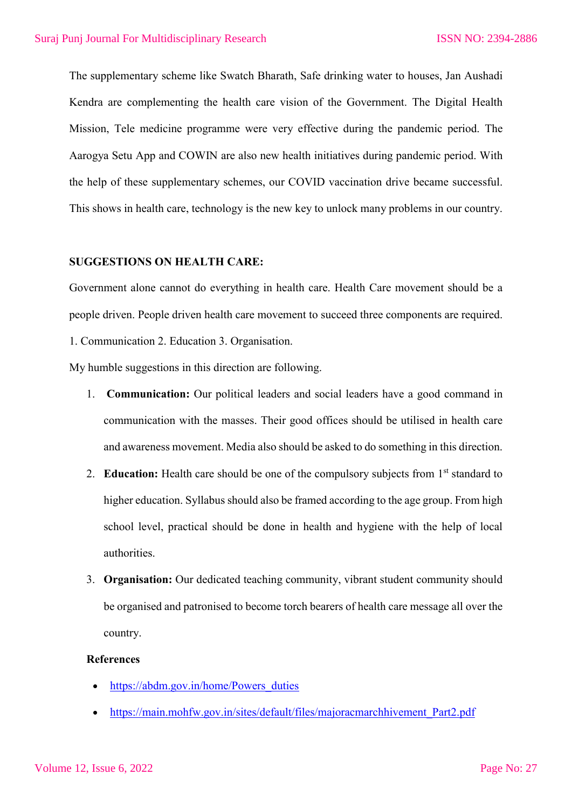The supplementary scheme like Swatch Bharath, Safe drinking water to houses, Jan Aushadi Kendra are complementing the health care vision of the Government. The Digital Health Mission, Tele medicine programme were very effective during the pandemic period. The Aarogya Setu App and COWIN are also new health initiatives during pandemic period. With the help of these supplementary schemes, our COVID vaccination drive became successful. This shows in health care, technology is the new key to unlock many problems in our country.

#### **SUGGESTIONS ON HEALTH CARE:**

Government alone cannot do everything in health care. Health Care movement should be a people driven. People driven health care movement to succeed three components are required. 1. Communication 2. Education 3. Organisation.

My humble suggestions in this direction are following.

- 1. **Communication:** Our political leaders and social leaders have a good command in communication with the masses. Their good offices should be utilised in health care and awareness movement. Media also should be asked to do something in this direction.
- 2. **Education:** Health care should be one of the compulsory subjects from 1<sup>st</sup> standard to higher education. Syllabus should also be framed according to the age group. From high school level, practical should be done in health and hygiene with the help of local authorities.
- 3. **Organisation:** Our dedicated teaching community, vibrant student community should be organised and patronised to become torch bearers of health care message all over the country.

# **References**

- https://abdm.gov.in/home/Powers\_duties
- https://main.mohfw.gov.in/sites/default/files/majoracmarchhivement\_Part2.pdf